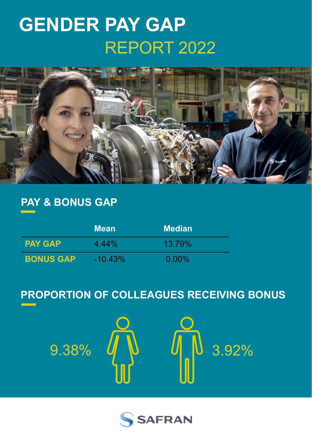# **GENDER PAY GAP** REPORT 2022



# **PAY & BONUS GAP**

|                  | <b>Mean</b> | <b>Median</b> |
|------------------|-------------|---------------|
| <b>PAY GAP</b>   | $4.44\%$    | 13.79%        |
| <b>BONUS GAP</b> | $-10.43\%$  | $0.00\%$      |

# **PROPORTION OF COLLEAGUES RECEIVING BONUS**

9.38%  $J\!\!\!J\!\!\!J$   $J\!\!\!J\!\!\!J$   $J\!\!\!J$   $J$  3.92%